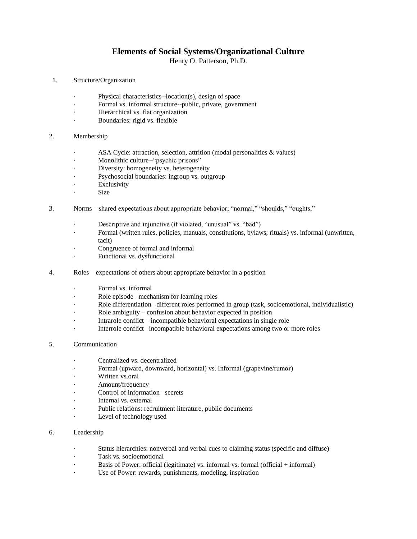## **Elements of Social Systems/Organizational Culture**

Henry O. Patterson, Ph.D.

- 1. Structure/Organization
	- Physical characteristics--location(s), design of space
	- Formal vs. informal structure--public, private, government
	- Hierarchical vs. flat organization
	- Boundaries: rigid vs. flexible
- 2. Membership
	- · ASA Cycle: attraction, selection, attrition (modal personalities & values)
	- Monolithic culture--"psychic prisons"
	- Diversity: homogeneity vs. heterogeneity
	- Psychosocial boundaries: ingroup vs. outgroup
	- **Exclusivity**
	- Size
- 3. Norms shared expectations about appropriate behavior; "normal," "shoulds," "oughts,"
	- · Descriptive and injunctive (if violated, "unusual" vs. "bad")
	- · Formal (written rules, policies, manuals, constitutions, bylaws; rituals) vs. informal (unwritten, tacit)
	- Congruence of formal and informal
	- · Functional vs. dysfunctional
- 4. Roles expectations of others about appropriate behavior in a position
	- · Formal vs. informal
	- Role episode– mechanism for learning roles
	- Role differentiation– different roles performed in group (task, socioemotional, individualistic)
	- Role ambiguity confusion about behavior expected in position
	- Intrarole conflict incompatible behavioral expectations in single role
	- Interrole conflict– incompatible behavioral expectations among two or more roles
- 5. Communication
	- · Centralized vs. decentralized
	- · Formal (upward, downward, horizontal) vs. Informal (grapevine/rumor)
	- · Written vs.oral
	- Amount/frequency
	- Control of information– secrets
	- Internal vs. external
	- Public relations: recruitment literature, public documents
	- Level of technology used

## 6. Leadership

- · Status hierarchies: nonverbal and verbal cues to claiming status (specific and diffuse)
- Task vs. socioemotional
- Basis of Power: official (legitimate) vs. informal vs. formal (official  $+$  informal)
- Use of Power: rewards, punishments, modeling, inspiration